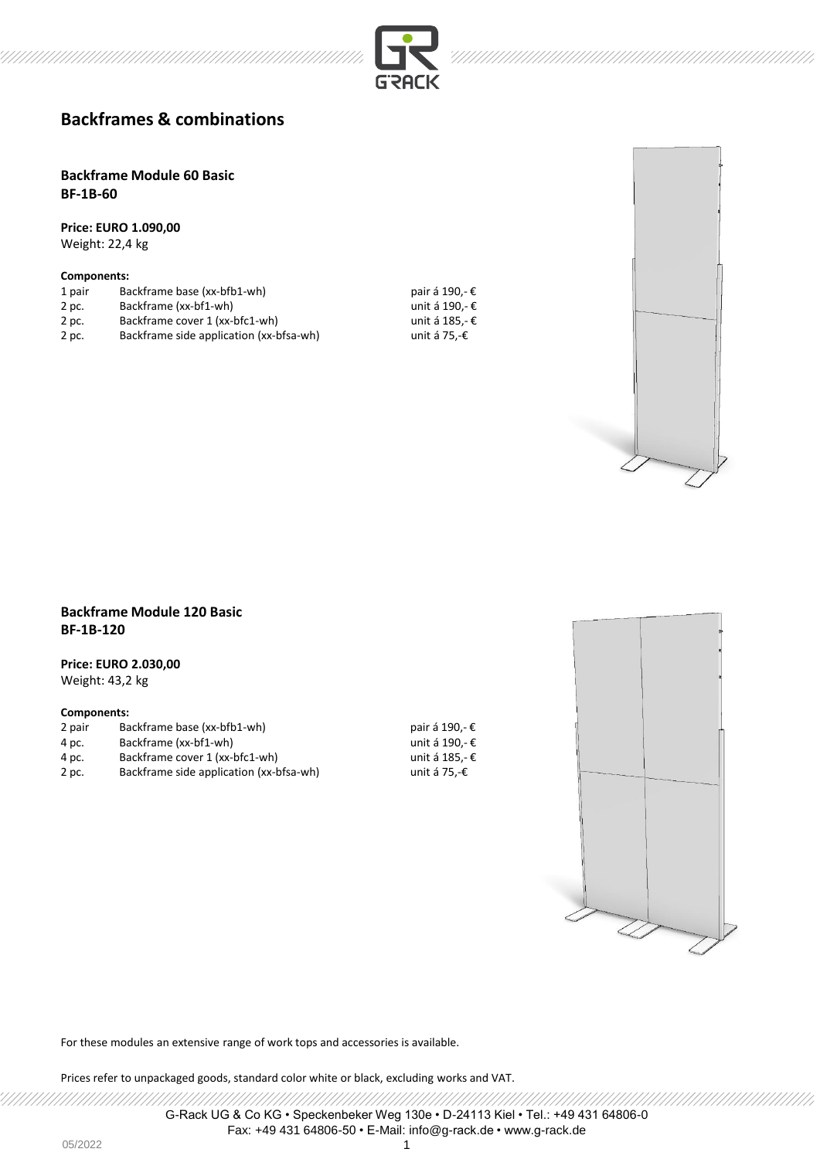

## **Backframe Module 60 Basic BF-1B-60**

#### **Price: EURO 1.090,00**

Weight: 22,4 kg

#### **Components:**

| 1 pair | Backframe base (xx-bfb1-wh)             | pair á 190,- € |
|--------|-----------------------------------------|----------------|
| 2 pc.  | Backframe (xx-bf1-wh)                   | unit á 190.- € |
| 2 pc.  | Backframe cover 1 (xx-bfc1-wh)          | unit á 185.- € |
| 2 pc.  | Backframe side application (xx-bfsa-wh) | unit á 75.-€   |



## **Backframe Module 120 Basic BF-1B-120**

#### **Price: EURO 2.030,00**

Weight: 43,2 kg

#### **Components:**

| 2 pair | Backframe base (xx-bfb1-wh)             | pair á 190,- $\epsilon$ |
|--------|-----------------------------------------|-------------------------|
| 4 pc.  | Backframe (xx-bf1-wh)                   | unit á 190.- €          |
| 4 pc.  | Backframe cover 1 (xx-bfc1-wh)          | unit á 185.- €          |
| 2 pc.  | Backframe side application (xx-bfsa-wh) | unit á 75.-€            |



For these modules an extensive range of work tops and accessories is available.

Prices refer to unpackaged goods, standard color white or black, excluding works and VAT.

G-Rack UG & Co KG • Speckenbeker Weg 130e • D-24113 Kiel • Tel.: +49 431 64806-0 Fax: +49 431 64806-50 • E-Mail: info@g-rack.de • www.g-rack.de

777777777777777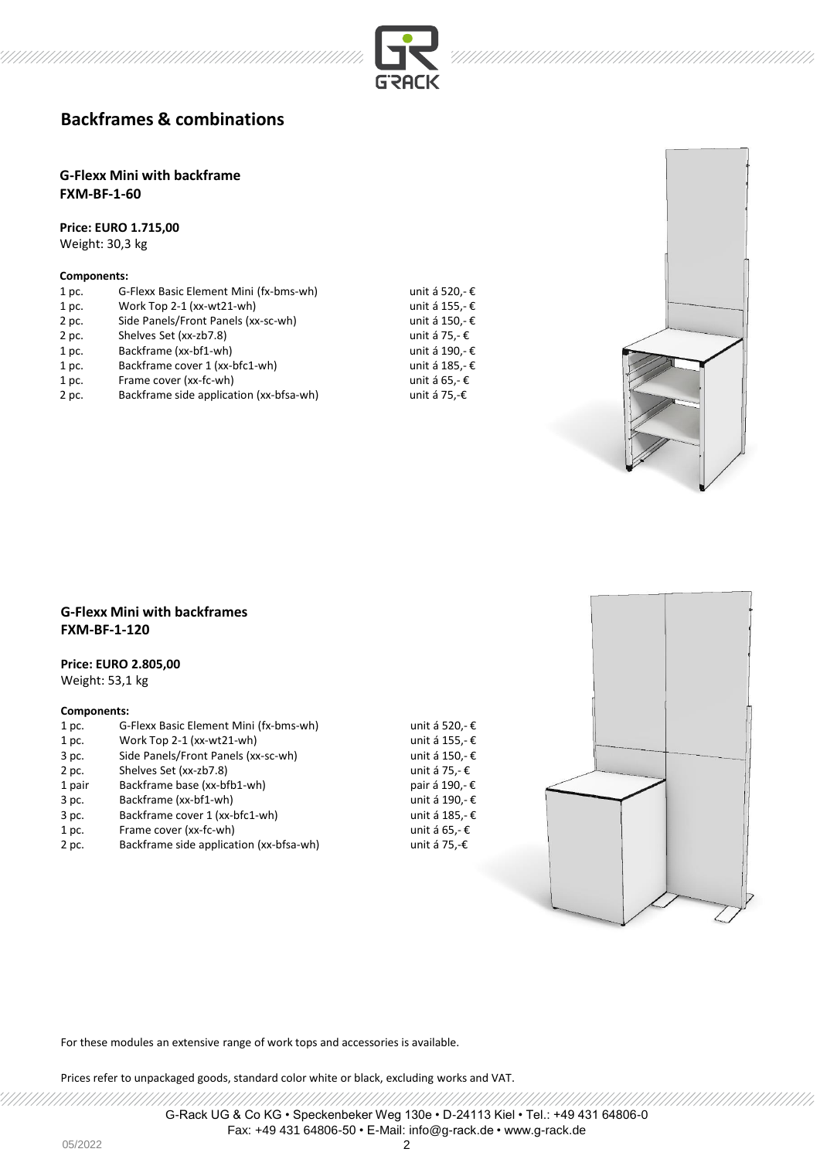



**G-Flexx Mini with backframe FXM-BF-1-60**

## **Price: EURO 1.715,00**

Weight: 30,3 kg

#### **Components:**

| 1 pc.             | G-Flexx Basic Element Mini (fx-bms-wh)  | unit á 520,- € |
|-------------------|-----------------------------------------|----------------|
| 1 <sub>p</sub> c. | Work Top 2-1 (xx-wt21-wh)               | unit á 155,- € |
| 2 pc.             | Side Panels/Front Panels (xx-sc-wh)     | unit á 150,- € |
| 2 pc.             | Shelves Set (xx-zb7.8)                  | unit á 75,- €  |
| 1 pc.             | Backframe (xx-bf1-wh)                   | unit á 190,- € |
| 1 pc.             | Backframe cover 1 (xx-bfc1-wh)          | unit á 185,- € |
| 1 <sub>p</sub> c. | Frame cover (xx-fc-wh)                  | unit á 65,- €  |
| 2 pc.             | Backframe side application (xx-bfsa-wh) | unit á 75,-€   |



## **G-Flexx Mini with backframes FXM-BF-1-120**

#### **Price: EURO 2.805,00**

Weight: 53,1 kg

#### **Components:**

| 1 pc.  | G-Flexx Basic Element Mini (fx-bms-wh)  | unit á 520,- € |  |
|--------|-----------------------------------------|----------------|--|
| 1 pc.  | Work Top 2-1 (xx-wt21-wh)               | unit á 155,- € |  |
| 3 pc.  | Side Panels/Front Panels (xx-sc-wh)     | unit á 150,- € |  |
| 2 pc.  | Shelves Set (xx-zb7.8)                  | unit á 75,- €  |  |
| 1 pair | Backframe base (xx-bfb1-wh)             | pair á 190,- € |  |
| 3 pc.  | Backframe (xx-bf1-wh)                   | unit á 190,- € |  |
| 3 pc.  | Backframe cover 1 (xx-bfc1-wh)          | unit á 185,- € |  |
| 1 pc.  | Frame cover (xx-fc-wh)                  | unit á 65,- €  |  |
| 2 pc.  | Backframe side application (xx-bfsa-wh) | unit á 75,-€   |  |
|        |                                         |                |  |
|        |                                         |                |  |

For these modules an extensive range of work tops and accessories is available.

Prices refer to unpackaged goods, standard color white or black, excluding works and VAT.

G-Rack UG & Co KG • Speckenbeker Weg 130e • D-24113 Kiel • Tel.: +49 431 64806-0 Fax: +49 431 64806-50 • E-Mail: info@g-rack.de • www.g-rack.de

,,,,,,,,,,,,,,,,,,,,,,,,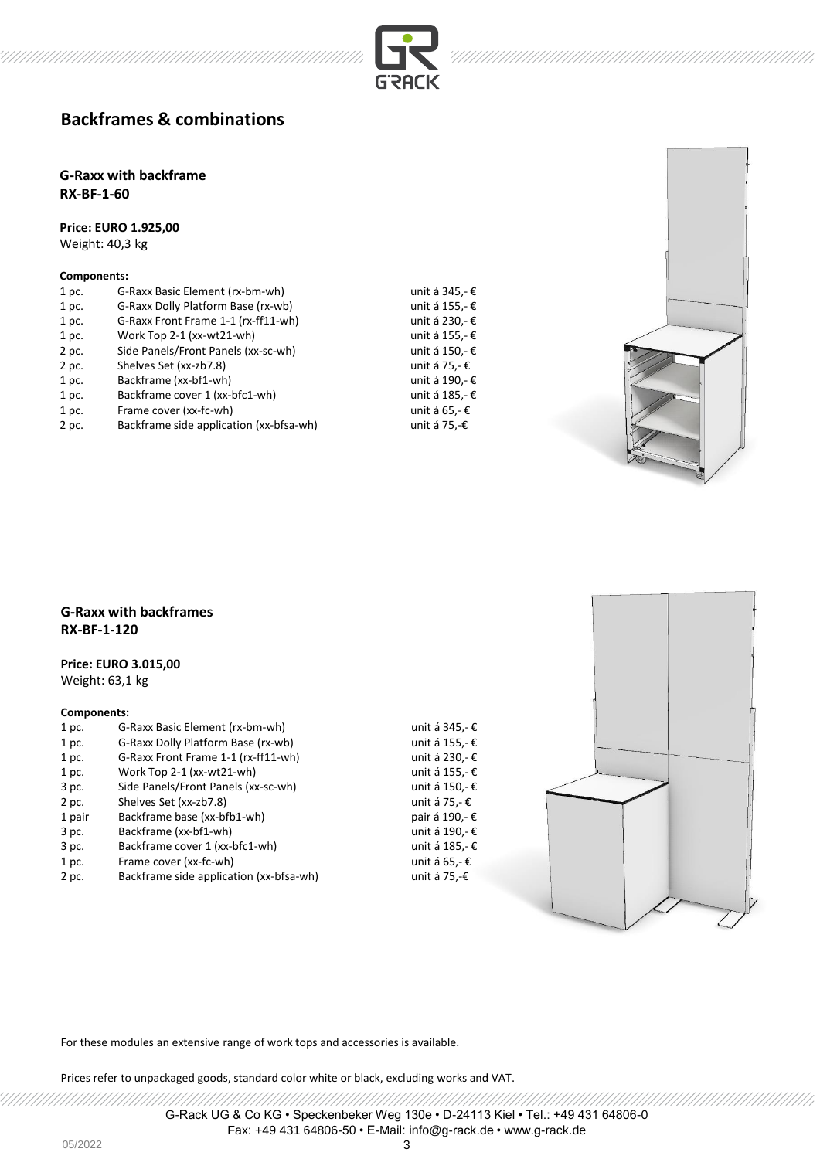



**G-Raxx with backframe RX-BF-1-60**

# **Price: EURO 1.925,00**

Weight: 40,3 kg

## **Components:**

| 1 pc. | G-Raxx Basic Element (rx-bm-wh)         | unit á 345,- € |
|-------|-----------------------------------------|----------------|
| 1 pc. | G-Raxx Dolly Platform Base (rx-wb)      | unit á 155,- € |
| 1 pc. | G-Raxx Front Frame 1-1 (rx-ff11-wh)     | unit á 230,- € |
| 1 pc. | Work Top 2-1 (xx-wt21-wh)               | unit á 155,- € |
| 2 pc. | Side Panels/Front Panels (xx-sc-wh)     | unit á 150,- € |
| 2 pc. | Shelves Set (xx-zb7.8)                  | unit á 75,- €  |
| 1 pc. | Backframe (xx-bf1-wh)                   | unit á 190,- € |
| 1 pc. | Backframe cover 1 (xx-bfc1-wh)          | unit á 185,- € |
| 1 pc. | Frame cover (xx-fc-wh)                  | unit á 65,- €  |
| 2 pc. | Backframe side application (xx-bfsa-wh) | unit á 75,-€   |
|       |                                         |                |



## **G-Raxx with backframes RX-BF-1-120**

#### **Price: EURO 3.015,00**

Weight: 63,1 kg

#### **Components:**

| 1 pc.  | G-Raxx Basic Element (rx-bm-wh)         | unit á 345,- € |
|--------|-----------------------------------------|----------------|
| 1 pc.  | G-Raxx Dolly Platform Base (rx-wb)      | unit á 155,- € |
| 1 pc.  | G-Raxx Front Frame 1-1 (rx-ff11-wh)     | unit á 230,- € |
| 1 pc.  | Work Top 2-1 (xx-wt21-wh)               | unit á 155,- € |
| 3 pc.  | Side Panels/Front Panels (xx-sc-wh)     | unit á 150,- € |
| 2 pc.  | Shelves Set (xx-zb7.8)                  | unit á 75,- €  |
| 1 pair | Backframe base (xx-bfb1-wh)             | pair á 190,- € |
| 3 pc.  | Backframe (xx-bf1-wh)                   | unit á 190,- € |
| 3 pc.  | Backframe cover 1 (xx-bfc1-wh)          | unit á 185,- € |
| 1 pc.  | Frame cover (xx-fc-wh)                  | unit á 65,- €  |
| 2 pc.  | Backframe side application (xx-bfsa-wh) | unit á 75,-€   |
|        |                                         |                |



//////////////////////

For these modules an extensive range of work tops and accessories is available.

Prices refer to unpackaged goods, standard color white or black, excluding works and VAT.

G-Rack UG & Co KG • Speckenbeker Weg 130e • D-24113 Kiel • Tel.: +49 431 64806-0 Fax: +49 431 64806-50 • E-Mail: info@g-rack.de • www.g-rack.de

,,,,,,,,,,,,,,,,,,,,,,,,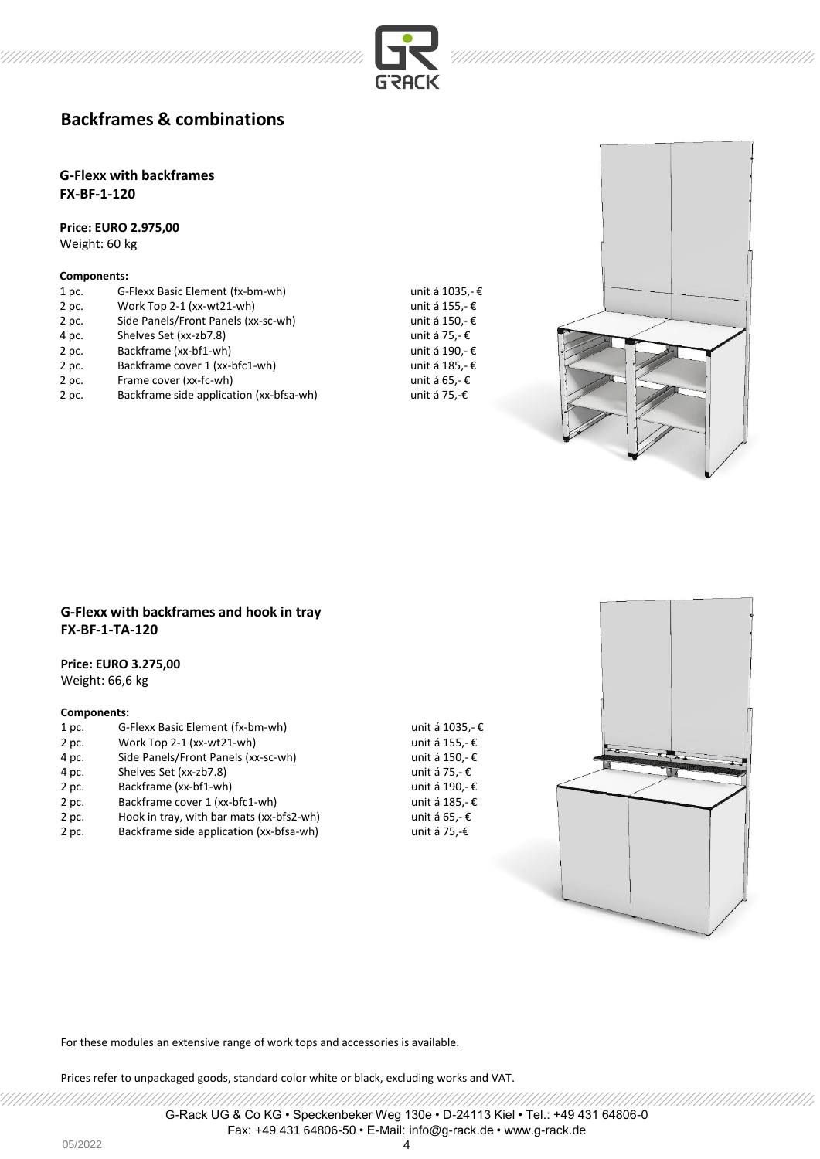



**G-Flexx with backframes FX-BF-1-120**

**Price: EURO 2.975,00** Weight: 60 kg

## **Components:**

| 1 <sub>p</sub> c. | G-Flexx Basic Element (fx-bm-wh)        | unit á 1035,- € |
|-------------------|-----------------------------------------|-----------------|
| 2 pc.             | Work Top 2-1 (xx-wt21-wh)               | unit á 155,- €  |
| 2 pc.             | Side Panels/Front Panels (xx-sc-wh)     | unit á 150,- €  |
| 4 pc.             | Shelves Set (xx-zb7.8)                  | unit á 75,- €   |
| 2 pc.             | Backframe (xx-bf1-wh)                   | unit á 190,- €  |
| 2 pc.             | Backframe cover 1 (xx-bfc1-wh)          | unit á 185,- €  |
| 2 pc.             | Frame cover (xx-fc-wh)                  | unit á 65,- €   |
| 2 pc.             | Backframe side application (xx-bfsa-wh) | unit á 75,-€    |
|                   |                                         |                 |



## **G-Flexx with backframes and hook in tray FX-BF-1-TA-120**

#### **Price: EURO 3.275,00**

Weight: 66,6 kg

#### **Components:**

| 1 pc. | G-Flexx Basic Element (fx-bm-wh)         | unit á 1035,- € |
|-------|------------------------------------------|-----------------|
| 2 pc. | Work Top 2-1 (xx-wt21-wh)                | unit á 155,- €  |
| 4 pc. | Side Panels/Front Panels (xx-sc-wh)      | unit á 150,- €  |
| 4 pc. | Shelves Set (xx-zb7.8)                   | unit á 75,- €   |
| 2 pc. | Backframe (xx-bf1-wh)                    | unit á 190,- €  |
| 2 pc. | Backframe cover 1 (xx-bfc1-wh)           | unit á 185,- €  |
| 2 pc. | Hook in tray, with bar mats (xx-bfs2-wh) | unit á 65,- €   |
| 2 pc. | Backframe side application (xx-bfsa-wh)  | unit á 75,-€    |
|       |                                          |                 |
|       |                                          |                 |



For these modules an extensive range of work tops and accessories is available.

Prices refer to unpackaged goods, standard color white or black, excluding works and VAT.

G-Rack UG & Co KG • Speckenbeker Weg 130e • D-24113 Kiel • Tel.: +49 431 64806-0 Fax: +49 431 64806-50 • E-Mail: info@g-rack.de • www.g-rack.de

,,,,,,,,,,,,,,,,,,,,,,,,,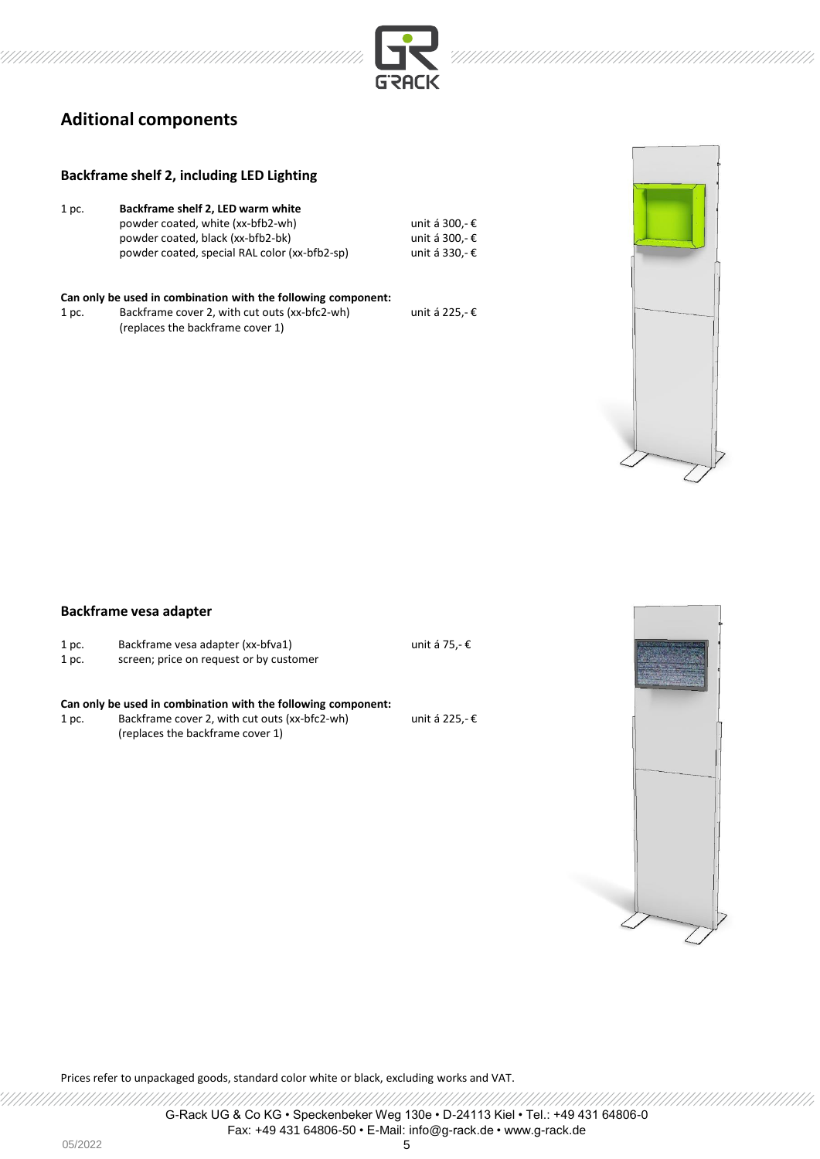

# **Aditional components**

#### **Backframe shelf 2, including LED Lighting**

| 1 pc. | Backframe shelf 2, LED warm white             |                |
|-------|-----------------------------------------------|----------------|
|       | powder coated, white (xx-bfb2-wh)             | unit á 300,- € |
|       | powder coated, black (xx-bfb2-bk)             | unit á 300.- € |
|       | powder coated, special RAL color (xx-bfb2-sp) | unit á 330,- € |

| Can only be used in combination with the following component: |                                               |                |
|---------------------------------------------------------------|-----------------------------------------------|----------------|
| 1 <sub>pc.</sub>                                              | Backframe cover 2, with cut outs (xx-bfc2-wh) | unit á 225.- € |
|                                                               | (replaces the backframe cover 1)              |                |



#### **Backframe vesa adapter**

| 1 pc. | Backframe vesa adapter (xx-bfva1)       | unit á 75,- € |
|-------|-----------------------------------------|---------------|
| 1 pc. | screen; price on request or by customer |               |

# **Can only be used in combination with the following component:**<br>1 pc. Backframe cover 2, with cut outs (xx-bfc2-wh)

Backframe cover 2, with cut outs (xx-bfc2-wh) unit á 225,- € (replaces the backframe cover 1)



Prices refer to unpackaged goods, standard color white or black, excluding works and VAT.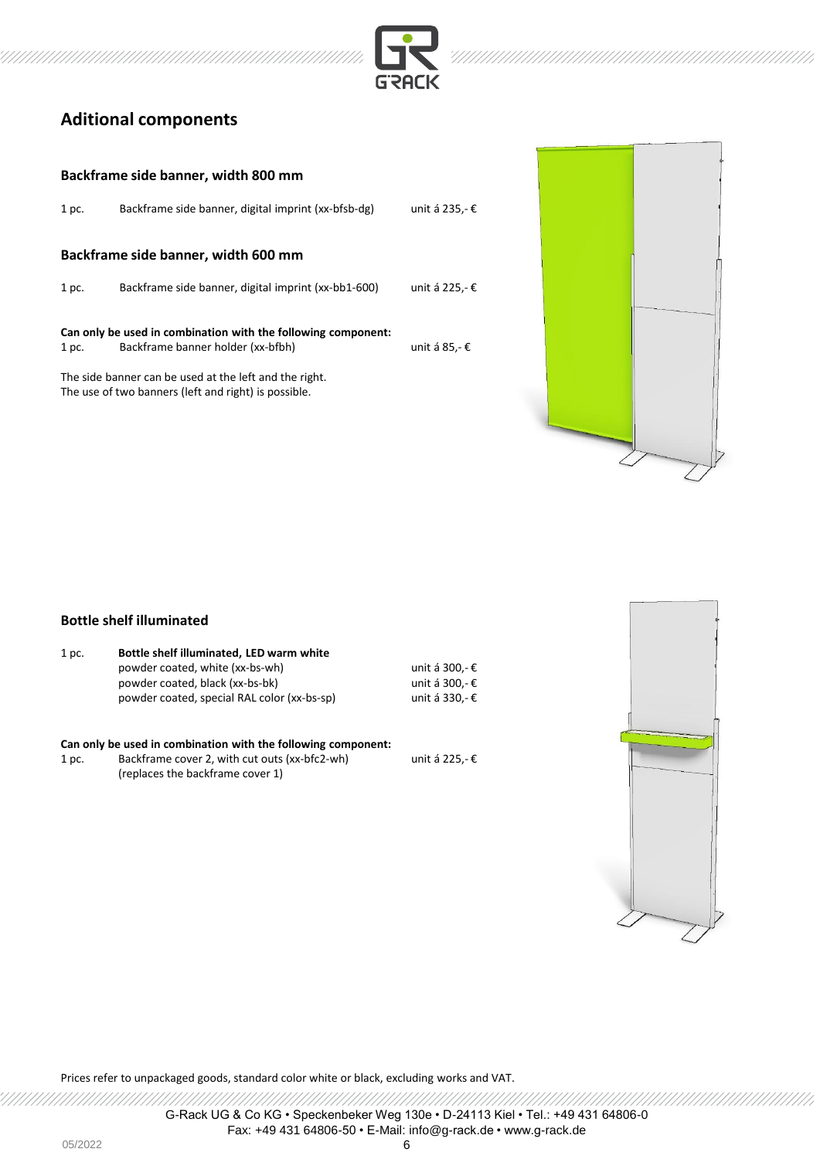



| Backframe side banner, width 800 mm |                                                                                                                                                                                                                      |                |  |
|-------------------------------------|----------------------------------------------------------------------------------------------------------------------------------------------------------------------------------------------------------------------|----------------|--|
| 1 pc.                               | Backframe side banner, digital imprint (xx-bfsb-dg)                                                                                                                                                                  | unit á 235,- € |  |
|                                     | Backframe side banner, width 600 mm                                                                                                                                                                                  |                |  |
| 1 pc.                               | Backframe side banner, digital imprint (xx-bb1-600)                                                                                                                                                                  | unit á 225,- € |  |
| 1 pc.                               | Can only be used in combination with the following component:<br>Backframe banner holder (xx-bfbh)<br>The side banner can be used at the left and the right.<br>The use of two banners (left and right) is possible. | unit á 85,- €  |  |



## **Bottle shelf illuminated**

| 1 <sub>p</sub> c. | Bottle shelf illuminated, LED warm white    |                |
|-------------------|---------------------------------------------|----------------|
|                   | powder coated, white (xx-bs-wh)             | unit á 300.- € |
|                   | powder coated, black (xx-bs-bk)             | unit á 300.- € |
|                   | powder coated, special RAL color (xx-bs-sp) | unit á 330.- € |

**Can only be used in combination with the following component:**<br>1 pc. Backframe cover 2, with cut outs (xx-bfc2-wh) Backframe cover 2, with cut outs (xx-bfc2-wh) unit á 225,- $\epsilon$ (replaces the backframe cover 1)



Prices refer to unpackaged goods, standard color white or black, excluding works and VAT.

G-Rack UG & Co KG • Speckenbeker Weg 130e • D-24113 Kiel • Tel.: +49 431 64806-0 Fax: +49 431 64806-50 • E-Mail: info@g-rack.de • www.g-rack.de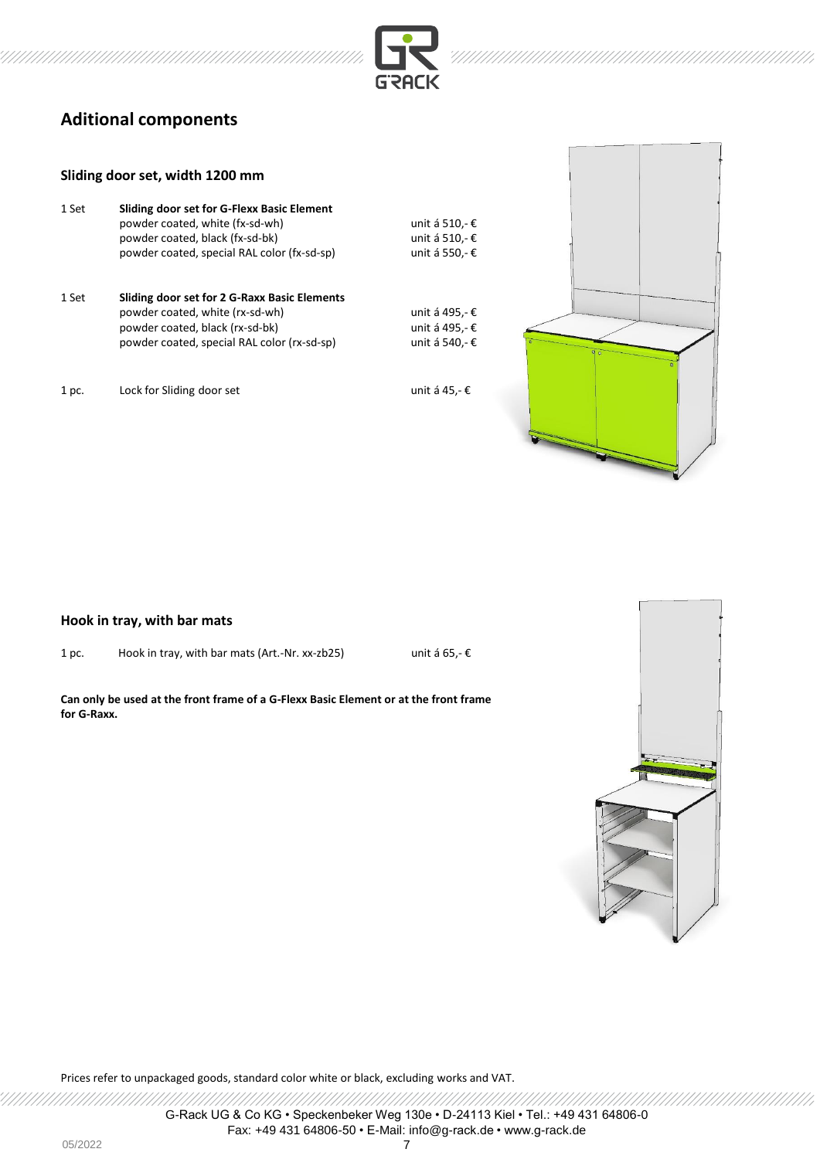



# **Aditional components**

#### **Sliding door set, width 1200 mm**

| 1 Set | Sliding door set for G-Flexx Basic Element<br>powder coated, white (fx-sd-wh)<br>powder coated, black (fx-sd-bk)<br>powder coated, special RAL color (fx-sd-sp)   | unit á 510,-€<br>unit á 510,-€<br>unit á 550,- €   |  |
|-------|-------------------------------------------------------------------------------------------------------------------------------------------------------------------|----------------------------------------------------|--|
| 1 Set | Sliding door set for 2 G-Raxx Basic Elements<br>powder coated, white (rx-sd-wh)<br>powder coated, black (rx-sd-bk)<br>powder coated, special RAL color (rx-sd-sp) | unit á 495,- €<br>unit á 495,- €<br>unit á 540,- € |  |
| 1 pc. | Lock for Sliding door set                                                                                                                                         | unit á 45,- €                                      |  |

#### **Hook in tray, with bar mats**

1 pc. Hook in tray, with bar mats (Art.-Nr. xx-zb25) unit á 65,- €

**Can only be used at the front frame of a G-Flexx Basic Element or at the front frame for G-Raxx.**



Prices refer to unpackaged goods, standard color white or black, excluding works and VAT.

,,,,,,,,,,,,,,,,,,,,,,,,,,,,,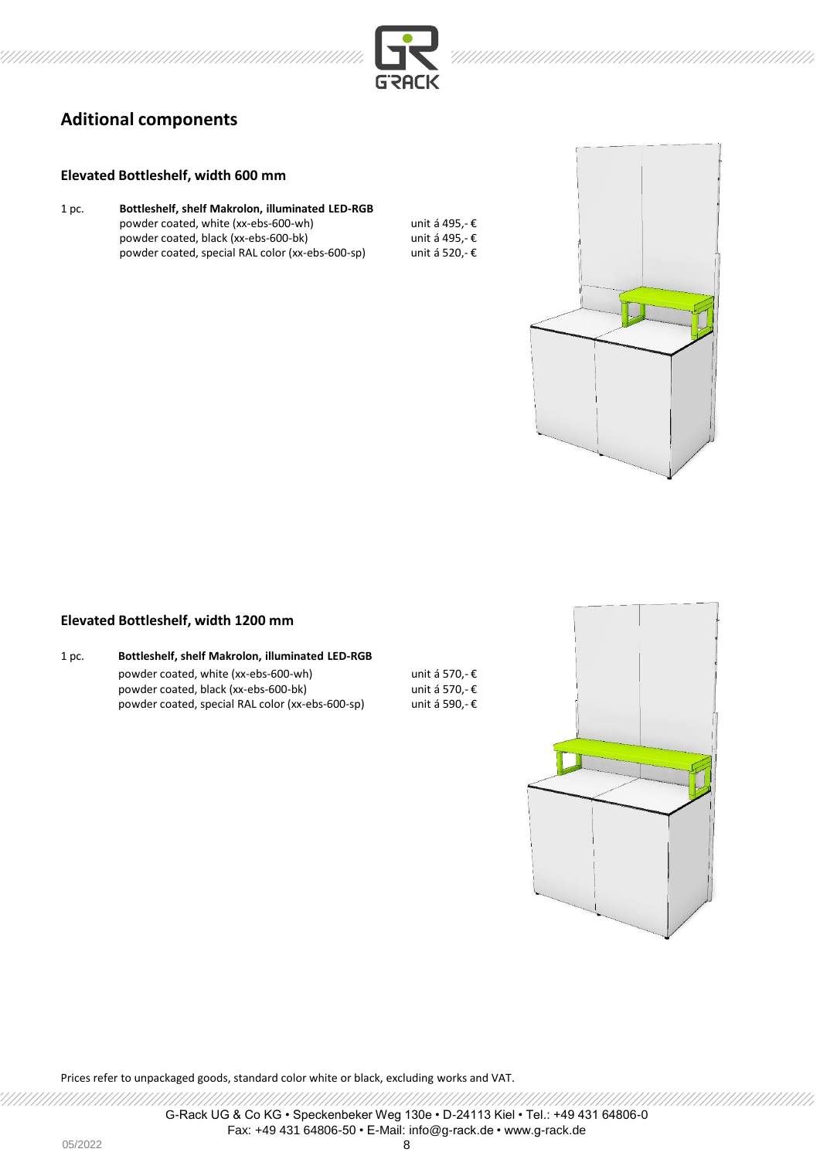

# **Aditional components**

#### **Elevated Bottleshelf, width 600 mm**

1 pc. **Bottleshelf, shelf Makrolon, illuminated LED-RGB** powder coated, white (xx-ebs-600-wh) unit á 495,- €<br>powder coated, black (xx-ebs-600-bk) unit á 495,- € powder coated, black (xx-ebs-600-bk) unit á 495,- €<br>powder coated, special RAL color (xx-ebs-600-sp) unit á 520,- € powder coated, special RAL color (xx-ebs-600-sp)



## **Elevated Bottleshelf, width 1200 mm**

1 pc. **Bottleshelf, shelf Makrolon, illuminated LED-RGB** powder coated, white (xx-ebs-600-wh) unit á 570,- €<br>powder coated, black (xx-ebs-600-bk) unit á 570,- € powder coated, black (xx-ebs-600-bk) unit á 570,- €<br>powder coated, special RAL color (xx-ebs-600-sp) unit á 590,- € powder coated, special RAL color (xx-ebs-600-sp)



Prices refer to unpackaged goods, standard color white or black, excluding works and VAT.

,,,,,,,,,,,,,,,,,,,,,,,,,,